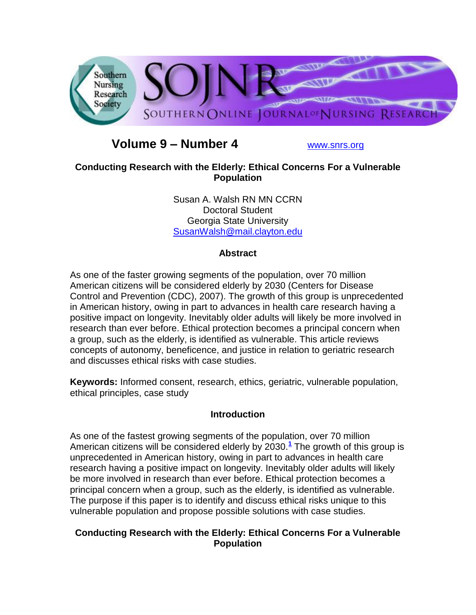

# **Volume 9 – Number 4** [www.snrs.org](http://www.snrs.org/)

## **Conducting Research with the Elderly: Ethical Concerns For a Vulnerable Population**

Susan A. Walsh RN MN CCRN Doctoral Student Georgia State University [SusanWalsh@mail.clayton.edu](mailto:SusanWalsh@mail.clayton.edu)

## **Abstract**

As one of the faster growing segments of the population, over 70 million American citizens will be considered elderly by 2030 (Centers for Disease Control and Prevention (CDC), 2007). The growth of this group is unprecedented in American history, owing in part to advances in health care research having a positive impact on longevity. Inevitably older adults will likely be more involved in research than ever before. Ethical protection becomes a principal concern when a group, such as the elderly, is identified as vulnerable. This article reviews concepts of autonomy, beneficence, and justice in relation to geriatric research and discusses ethical risks with case studies.

**Keywords:** Informed consent, research, ethics, geriatric, vulnerable population, ethical principles, case study

## **Introduction**

As one of the fastest growing segments of the population, over 70 million American citizens will be considered elderly by 2030.**[1](http://snrs.org/publications/SOJNR_articles2/n)** The growth of this group is unprecedented in American history, owing in part to advances in health care research having a positive impact on longevity. Inevitably older adults will likely be more involved in research than ever before. Ethical protection becomes a principal concern when a group, such as the elderly, is identified as vulnerable. The purpose if this paper is to identify and discuss ethical risks unique to this vulnerable population and propose possible solutions with case studies.

## **Conducting Research with the Elderly: Ethical Concerns For a Vulnerable Population**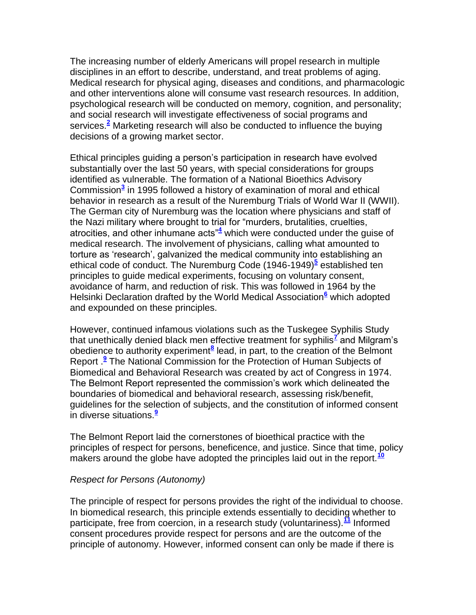The increasing number of elderly Americans will propel research in multiple disciplines in an effort to describe, understand, and treat problems of aging. Medical research for physical aging, diseases and conditions, and pharmacologic and other interventions alone will consume vast research resources. In addition, psychological research will be conducted on memory, cognition, and personality; and social research will investigate effectiveness of social programs and services.**[2](http://snrs.org/publications/SOJNR_articles2/n)** Marketing research will also be conducted to influence the buying decisions of a growing market sector.

Ethical principles guiding a person's participation in research have evolved substantially over the last 50 years, with special considerations for groups identified as vulnerable. The formation of a National Bioethics Advisory Commission**[3](http://snrs.org/publications/SOJNR_articles2/n)** in 1995 followed a history of examination of moral and ethical behavior in research as a result of the Nuremburg Trials of World War II (WWII). The German city of Nuremburg was the location where physicians and staff of the Nazi military where brought to trial for "murders, brutalities, cruelties, atrocities, and other inhumane acts"**[4](http://snrs.org/publications/SOJNR_articles2/n)** which were conducted under the guise of medical research. The involvement of physicians, calling what amounted to torture as "research", galvanized the medical community into establishing an ethical code of conduct. The Nuremburg Code (1946-1949)<sup>[5](http://snrs.org/publications/SOJNR_articles2/n)</sup> established ten principles to guide medical experiments, focusing on voluntary consent, avoidance of harm, and reduction of risk. This was followed in 1964 by the Helsinki Declaration drafted by the World Medical Association**[6](http://snrs.org/publications/SOJNR_articles2/n)** which adopted and expounded on these principles.

However, continued infamous violations such as the Tuskegee Syphilis Study that unethically denied black men effective treatment for syphilis**[7](http://snrs.org/publications/SOJNR_articles2/n)** and Milgram"s obedience to authority experiment<sup>[8](http://snrs.org/publications/SOJNR_articles2/n)</sup> lead, in part, to the creation of the Belmont Report [.](http://snrs.org/publications/SOJNR_articles2/n)<sup>9</sup> The National Commission for the Protection of Human Subjects of Biomedical and Behavioral Research was created by act of Congress in 1974. The Belmont Report represented the commission"s work which delineated the boundaries of biomedical and behavioral research, assessing risk/benefit, guidelines for the selection of subjects, and the constitution of informed consent in diverse situations[.](http://snrs.org/publications/SOJNR_articles2/n)**<sup>9</sup>**

The Belmont Report laid the cornerstones of bioethical practice with the principles of respect for persons, beneficence, and justice. Since that time, policy makers around the globe have adopted the principles laid out in the report.**[10](http://snrs.org/publications/SOJNR_articles2/n)**

#### *Respect for Persons (Autonomy)*

The principle of respect for persons provides the right of the individual to choose. In biomedical research, this principle extends essentially to deciding whether to participate, free from coercion, in a research study (voluntariness).**[11](http://snrs.org/publications/SOJNR_articles2/n)** Informed consent procedures provide respect for persons and are the outcome of the principle of autonomy. However, informed consent can only be made if there is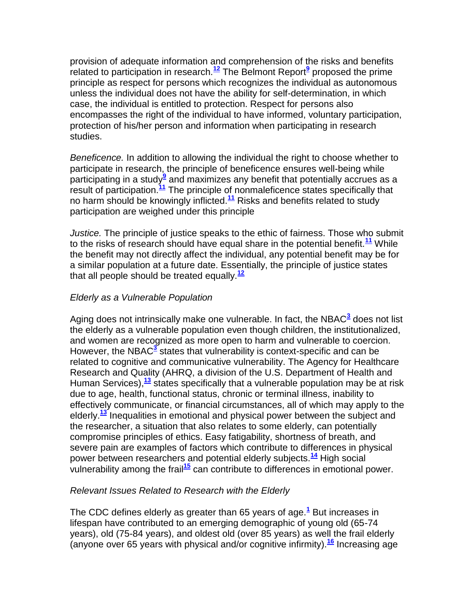provision of adequate information and comprehension of the risks and benefits related to participation in research.**[12](http://snrs.org/publications/SOJNR_articles2/n)** The Belmont Repor[t](http://snrs.org/publications/SOJNR_articles2/n)**<sup>9</sup>** proposed the prime principle as respect for persons which recognizes the individual as autonomous unless the individual does not have the ability for self-determination, in which case, the individual is entitled to protection. Respect for persons also encompasses the right of the individual to have informed, voluntary participation, protection of his/her person and information when participating in research studies.

*Beneficence.* In addition to allowing the individual the right to choose whether to participate in research, the principle of beneficence ensures well-being while .<br>participating in a study<sup>[9](http://snrs.org/publications/SOJNR_articles2/n)</sup> and maximizes any benefit that potentially accrues as a result of participation.**[11](http://snrs.org/publications/SOJNR_articles2/n)** The principle of nonmaleficence states specifically that no harm should be knowingly inflicted.**[11](http://snrs.org/publications/SOJNR_articles2/n)** Risks and benefits related to study participation are weighed under this principle

*Justice.* The principle of justice speaks to the ethic of fairness. Those who submit to the risks of research should have equal share in the potential benefit.**[11](http://snrs.org/publications/SOJNR_articles2/n)** While the benefit may not directly affect the individual, any potential benefit may be for a similar population at a future date. Essentially, the principle of justice states that all people should be treated equally.**[12](http://snrs.org/publications/SOJNR_articles2/n)**

## *Elderly as a Vulnerable Population*

Aging does not intrinsically make one vulnerable. In fact, the NBAC<sup>[3](http://snrs.org/publications/SOJNR_articles2/n)</sup> does not list the elderly as a vulnerable population even though children, the institutionalized, and women are recognized as more open to harm and vulnerable to coercion. However, the NBAC<sup>[3](http://snrs.org/publications/SOJNR_articles2/n)</sup> states that vulnerability is context-specific and can be related to cognitive and communicative vulnerability. The Agency for Healthcare Research and Quality (AHRQ, a division of the U.S. Department of Health and Human Services),**[13](http://snrs.org/publications/SOJNR_articles2/n)** states specifically that a vulnerable population may be at risk due to age, health, functional status, chronic or terminal illness, inability to effectively communicate, or financial circumstances, all of which may apply to the elderly.**[13](http://snrs.org/publications/SOJNR_articles2/n)** Inequalities in emotional and physical power between the subject and the researcher, a situation that also relates to some elderly, can potentially compromise principles of ethics. Easy fatigability, shortness of breath, and severe pain are examples of factors which contribute to differences in physical power between researchers and potential elderly subjects.**[14](http://snrs.org/publications/SOJNR_articles2/n)** High social vulnerability among the frail**[15](http://snrs.org/publications/SOJNR_articles2/n)** can contribute to differences in emotional power.

## *Relevant Issues Related to Research with the Elderly*

The CDC defines elderly as greater than 65 years of age.**[1](http://snrs.org/publications/SOJNR_articles2/n)** But increases in lifespan have contributed to an emerging demographic of young old (65-74 years), old (75-84 years), and oldest old (over 85 years) as well the frail elderly (anyone over 65 years with physical and/or cognitive infirmity).**[16](http://snrs.org/publications/SOJNR_articles2/n)** Increasing age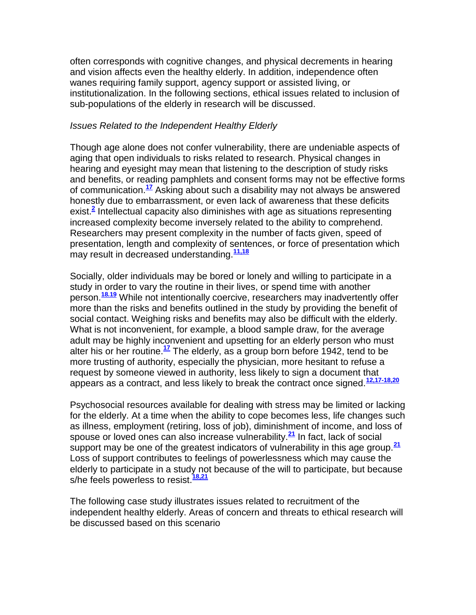often corresponds with cognitive changes, and physical decrements in hearing and vision affects even the healthy elderly. In addition, independence often wanes requiring family support, agency support or assisted living, or institutionalization. In the following sections, ethical issues related to inclusion of sub-populations of the elderly in research will be discussed.

#### *Issues Related to the Independent Healthy Elderly*

Though age alone does not confer vulnerability, there are undeniable aspects of aging that open individuals to risks related to research. Physical changes in hearing and eyesight may mean that listening to the description of study risks and benefits, or reading pamphlets and consent forms may not be effective forms of communication.**[17](http://snrs.org/publications/SOJNR_articles2/n)** Asking about such a disability may not always be answered honestly due to embarrassment, or even lack of awareness that these deficits exist.**[2](http://snrs.org/publications/SOJNR_articles2/n)** Intellectual capacity also diminishes with age as situations representing increased complexity become inversely related to the ability to comprehend. Researchers may present complexity in the number of facts given, speed of presentation, length and complexity of sentences, or force of presentation which may result in decreased understanding.**[11,18](http://snrs.org/publications/SOJNR_articles2/n)**

Socially, older individuals may be bored or lonely and willing to participate in a study in order to vary the routine in their lives, or spend time with another person.**[18.19](http://snrs.org/publications/SOJNR_articles2/n)** While not intentionally coercive, researchers may inadvertently offer more than the risks and benefits outlined in the study by providing the benefit of social contact. Weighing risks and benefits may also be difficult with the elderly. What is not inconvenient, for example, a blood sample draw, for the average adult may be highly inconvenient and upsetting for an elderly person who must alter his or her routine.**[17](http://snrs.org/publications/SOJNR_articles2/n)** The elderly, as a group born before 1942, tend to be more trusting of authority, especially the physician, more hesitant to refuse a request by someone viewed in authority, less likely to sign a document that appears as a contract, and less likely to break the contract once signed.**[12,17-18,20](http://snrs.org/publications/SOJNR_articles2/n)**

Psychosocial resources available for dealing with stress may be limited or lacking for the elderly. At a time when the ability to cope becomes less, life changes such as illness, employment (retiring, loss of job), diminishment of income, and loss of spouse or loved ones can also increase vulnerability.**[21](http://snrs.org/publications/SOJNR_articles2/n)** In fact, lack of social support may be one of the greatest indicators of vulnerability in this age group.**[21](http://snrs.org/publications/SOJNR_articles2/n)** Loss of support contributes to feelings of powerlessness which may cause the elderly to participate in a study not because of the will to participate, but because s/he feels powerless to resist.**[18,21](http://snrs.org/publications/SOJNR_articles2/n)**

The following case study illustrates issues related to recruitment of the independent healthy elderly. Areas of concern and threats to ethical research will be discussed based on this scenario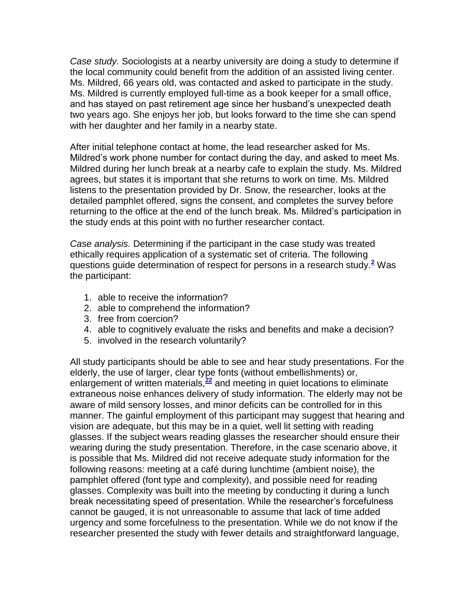*Case study.* Sociologists at a nearby university are doing a study to determine if the local community could benefit from the addition of an assisted living center. Ms. Mildred, 66 years old, was contacted and asked to participate in the study. Ms. Mildred is currently employed full-time as a book keeper for a small office, and has stayed on past retirement age since her husband"s unexpected death two years ago. She enjoys her job, but looks forward to the time she can spend with her daughter and her family in a nearby state.

After initial telephone contact at home, the lead researcher asked for Ms. Mildred"s work phone number for contact during the day, and asked to meet Ms. Mildred during her lunch break at a nearby cafe to explain the study. Ms. Mildred agrees, but states it is important that she returns to work on time. Ms. Mildred listens to the presentation provided by Dr. Snow, the researcher, looks at the detailed pamphlet offered, signs the consent, and completes the survey before returning to the office at the end of the lunch break. Ms. Mildred"s participation in the study ends at this point with no further researcher contact.

*Case analysis.* Determining if the participant in the case study was treated ethically requires application of a systematic set of criteria. The following questions guide determination of respect for persons in a research study.**[2](http://snrs.org/publications/SOJNR_articles2/n)** Was the participant:

- 1. able to receive the information?
- 2. able to comprehend the information?
- 3. free from coercion?
- 4. able to cognitively evaluate the risks and benefits and make a decision?
- 5. involved in the research voluntarily?

All study participants should be able to see and hear study presentations. For the elderly, the use of larger, clear type fonts (without embellishments) or, enlargement of written materials,<sup>[22](http://snrs.org/publications/SOJNR_articles2/n)</sup> and meeting in quiet locations to eliminate extraneous noise enhances delivery of study information. The elderly may not be aware of mild sensory losses, and minor deficits can be controlled for in this manner. The gainful employment of this participant may suggest that hearing and vision are adequate, but this may be in a quiet, well lit setting with reading glasses. If the subject wears reading glasses the researcher should ensure their wearing during the study presentation. Therefore, in the case scenario above, it is possible that Ms. Mildred did not receive adequate study information for the following reasons: meeting at a café during lunchtime (ambient noise), the pamphlet offered (font type and complexity), and possible need for reading glasses. Complexity was built into the meeting by conducting it during a lunch break necessitating speed of presentation. While the researcher"s forcefulness cannot be gauged, it is not unreasonable to assume that lack of time added urgency and some forcefulness to the presentation. While we do not know if the researcher presented the study with fewer details and straightforward language,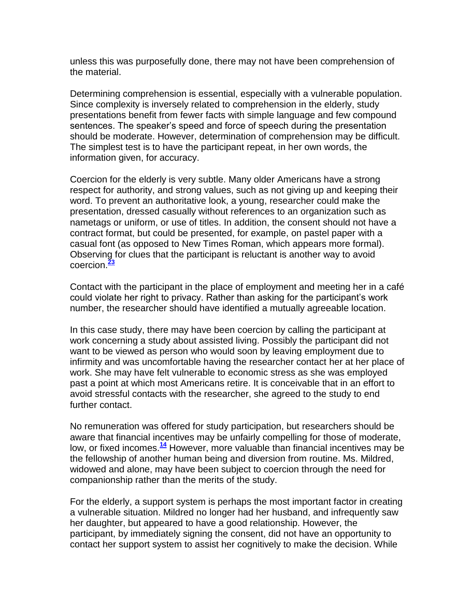unless this was purposefully done, there may not have been comprehension of the material.

Determining comprehension is essential, especially with a vulnerable population. Since complexity is inversely related to comprehension in the elderly, study presentations benefit from fewer facts with simple language and few compound sentences. The speaker"s speed and force of speech during the presentation should be moderate. However, determination of comprehension may be difficult. The simplest test is to have the participant repeat, in her own words, the information given, for accuracy.

Coercion for the elderly is very subtle. Many older Americans have a strong respect for authority, and strong values, such as not giving up and keeping their word. To prevent an authoritative look, a young, researcher could make the presentation, dressed casually without references to an organization such as nametags or uniform, or use of titles. In addition, the consent should not have a contract format, but could be presented, for example, on pastel paper with a casual font (as opposed to New Times Roman, which appears more formal). Observing for clues that the participant is reluctant is another way to avoid coercion.**[23](http://snrs.org/publications/SOJNR_articles2/n)**

Contact with the participant in the place of employment and meeting her in a café could violate her right to privacy. Rather than asking for the participant"s work number, the researcher should have identified a mutually agreeable location.

In this case study, there may have been coercion by calling the participant at work concerning a study about assisted living. Possibly the participant did not want to be viewed as person who would soon by leaving employment due to infirmity and was uncomfortable having the researcher contact her at her place of work. She may have felt vulnerable to economic stress as she was employed past a point at which most Americans retire. It is conceivable that in an effort to avoid stressful contacts with the researcher, she agreed to the study to end further contact.

No remuneration was offered for study participation, but researchers should be aware that financial incentives may be unfairly compelling for those of moderate, low, or fixed incomes.**[14](http://snrs.org/publications/SOJNR_articles2/n)** However, more valuable than financial incentives may be the fellowship of another human being and diversion from routine. Ms. Mildred, widowed and alone, may have been subject to coercion through the need for companionship rather than the merits of the study.

For the elderly, a support system is perhaps the most important factor in creating a vulnerable situation. Mildred no longer had her husband, and infrequently saw her daughter, but appeared to have a good relationship. However, the participant, by immediately signing the consent, did not have an opportunity to contact her support system to assist her cognitively to make the decision. While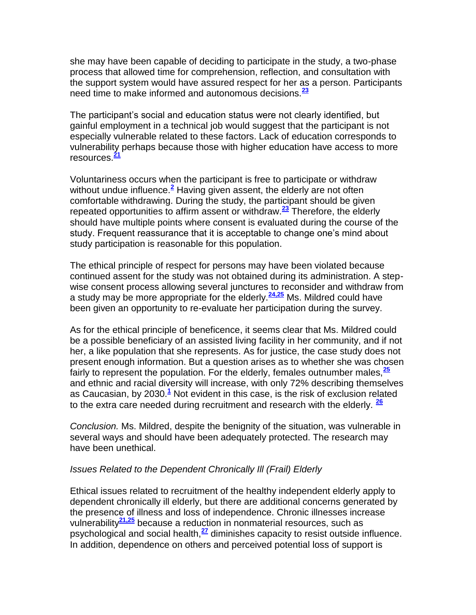she may have been capable of deciding to participate in the study, a two-phase process that allowed time for comprehension, reflection, and consultation with the support system would have assured respect for her as a person. Participants need time to make informed and autonomous decisions.**[23](http://snrs.org/publications/SOJNR_articles2/n)**

The participant"s social and education status were not clearly identified, but gainful employment in a technical job would suggest that the participant is not especially vulnerable related to these factors. Lack of education corresponds to vulnerability perhaps because those with higher education have access to more resources.**[21](http://snrs.org/publications/SOJNR_articles2/n)**

Voluntariness occurs when the participant is free to participate or withdraw without undue influence.<sup>[2](http://snrs.org/publications/SOJNR_articles2/n)</sup> Having given assent, the elderly are not often comfortable withdrawing. During the study, the participant should be given repeated opportunities to affirm assent or withdraw.**[23](http://snrs.org/publications/SOJNR_articles2/n)** Therefore, the elderly should have multiple points where consent is evaluated during the course of the study. Frequent reassurance that it is acceptable to change one"s mind about study participation is reasonable for this population.

The ethical principle of respect for persons may have been violated because continued assent for the study was not obtained during its administration. A stepwise consent process allowing several junctures to reconsider and withdraw from a study may be more appropriate for the elderly.**[24,25](http://snrs.org/publications/SOJNR_articles2/n)** Ms. Mildred could have been given an opportunity to re-evaluate her participation during the survey.

As for the ethical principle of beneficence, it seems clear that Ms. Mildred could be a possible beneficiary of an assisted living facility in her community, and if not her, a like population that she represents. As for justice, the case study does not present enough information. But a question arises as to whether she was chosen fairly to represent the population. For the elderly, females outnumber males,**[25](http://snrs.org/publications/SOJNR_articles2/n)** and ethnic and racial diversity will increase, with only 72% describing themselves as Caucasian, by 2030.**[1](http://snrs.org/publications/SOJNR_articles2/n)** Not evident in this case, is the risk of exclusion related to the extra care needed during recruitment and research with the elderly. **[26](http://snrs.org/publications/SOJNR_articles2/n)**

*Conclusion.* Ms. Mildred, despite the benignity of the situation, was vulnerable in several ways and should have been adequately protected. The research may have been unethical.

#### *Issues Related to the Dependent Chronically Ill (Frail) Elderly*

Ethical issues related to recruitment of the healthy independent elderly apply to dependent chronically ill elderly, but there are additional concerns generated by the presence of illness and loss of independence. Chronic illnesses increase vulnerability**[21,25](http://snrs.org/publications/SOJNR_articles2/n)** because a reduction in nonmaterial resources, such as psychological and social health,**[27](http://snrs.org/publications/SOJNR_articles2/n)** diminishes capacity to resist outside influence. In addition, dependence on others and perceived potential loss of support is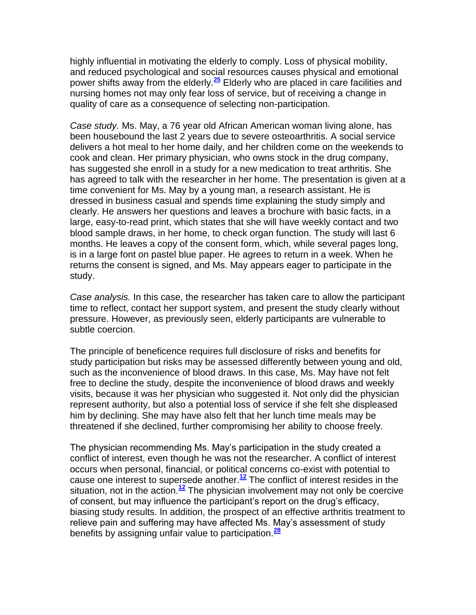highly influential in motivating the elderly to comply. Loss of physical mobility, and reduced psychological and social resources causes physical and emotional power shifts away from the elderly.**[25](http://snrs.org/publications/SOJNR_articles2/n)** Elderly who are placed in care facilities and nursing homes not may only fear loss of service, but of receiving a change in quality of care as a consequence of selecting non-participation.

*Case study.* Ms. May, a 76 year old African American woman living alone, has been housebound the last 2 years due to severe osteoarthritis. A social service delivers a hot meal to her home daily, and her children come on the weekends to cook and clean. Her primary physician, who owns stock in the drug company, has suggested she enroll in a study for a new medication to treat arthritis. She has agreed to talk with the researcher in her home. The presentation is given at a time convenient for Ms. May by a young man, a research assistant. He is dressed in business casual and spends time explaining the study simply and clearly. He answers her questions and leaves a brochure with basic facts, in a large, easy-to-read print, which states that she will have weekly contact and two blood sample draws, in her home, to check organ function. The study will last 6 months. He leaves a copy of the consent form, which, while several pages long, is in a large font on pastel blue paper. He agrees to return in a week. When he returns the consent is signed, and Ms. May appears eager to participate in the study.

*Case analysis.* In this case, the researcher has taken care to allow the participant time to reflect, contact her support system, and present the study clearly without pressure. However, as previously seen, elderly participants are vulnerable to subtle coercion.

The principle of beneficence requires full disclosure of risks and benefits for study participation but risks may be assessed differently between young and old, such as the inconvenience of blood draws. In this case, Ms. May have not felt free to decline the study, despite the inconvenience of blood draws and weekly visits, because it was her physician who suggested it. Not only did the physician represent authority, but also a potential loss of service if she felt she displeased him by declining. She may have also felt that her lunch time meals may be threatened if she declined, further compromising her ability to choose freely.

The physician recommending Ms. May"s participation in the study created a conflict of interest, even though he was not the researcher. A conflict of interest occurs when personal, financial, or political concerns co-exist with potential to cause one interest to supersede another.**[12](http://snrs.org/publications/SOJNR_articles2/n)** The conflict of interest resides in the situation, not in the action.**[12](http://snrs.org/publications/SOJNR_articles2/n)** The physician involvement may not only be coercive of consent, but may influence the participant"s report on the drug"s efficacy, biasing study results. In addition, the prospect of an effective arthritis treatment to relieve pain and suffering may have affected Ms. May"s assessment of study benefits by assigning unfair value to participation.**[28](http://snrs.org/publications/SOJNR_articles2/n)**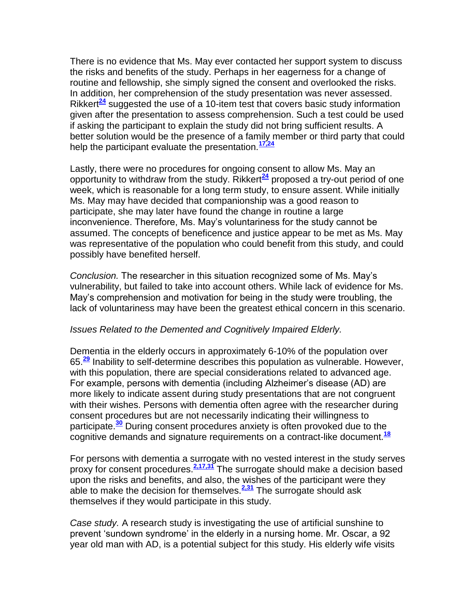There is no evidence that Ms. May ever contacted her support system to discuss the risks and benefits of the study. Perhaps in her eagerness for a change of routine and fellowship, she simply signed the consent and overlooked the risks. In addition, her comprehension of the study presentation was never assessed. Rikkert<sup>[24](http://snrs.org/publications/SOJNR_articles2/n)</sup> suggested the use of a 10-item test that covers basic study information given after the presentation to assess comprehension. Such a test could be used if asking the participant to explain the study did not bring sufficient results. A better solution would be the presence of a family member or third party that could help the participant evaluate the presentation.**[17,24](http://snrs.org/publications/SOJNR_articles2/n)**

Lastly, there were no procedures for ongoing consent to allow Ms. May an opportunity to withdraw from the study. Rikkert**[24](http://snrs.org/publications/SOJNR_articles2/n)** proposed a try-out period of one week, which is reasonable for a long term study, to ensure assent. While initially Ms. May may have decided that companionship was a good reason to participate, she may later have found the change in routine a large inconvenience. Therefore, Ms. May"s voluntariness for the study cannot be assumed. The concepts of beneficence and justice appear to be met as Ms. May was representative of the population who could benefit from this study, and could possibly have benefited herself.

*Conclusion.* The researcher in this situation recognized some of Ms. May"s vulnerability, but failed to take into account others. While lack of evidence for Ms. May"s comprehension and motivation for being in the study were troubling, the lack of voluntariness may have been the greatest ethical concern in this scenario.

#### *Issues Related to the Demented and Cognitively Impaired Elderly.*

Dementia in the elderly occurs in approximately 6-10% of the population over 65.**[29](http://snrs.org/publications/SOJNR_articles2/n)** Inability to self-determine describes this population as vulnerable. However, with this population, there are special considerations related to advanced age. For example, persons with dementia (including Alzheimer"s disease (AD) are more likely to indicate assent during study presentations that are not congruent with their wishes. Persons with dementia often agree with the researcher during consent procedures but are not necessarily indicating their willingness to participate.**[30](http://snrs.org/publications/SOJNR_articles2/n)** During consent procedures anxiety is often provoked due to the cognitive demands and signature requirements on a contract-like document.**[18](http://snrs.org/publications/SOJNR_articles2/n)**

For persons with dementia a surrogate with no vested interest in the study serves proxy for consent procedures.**[2,17,31](http://snrs.org/publications/SOJNR_articles2/n)** The surrogate should make a decision based upon the risks and benefits, and also, the wishes of the participant were they able to make the decision for themselves.**[2,31](http://snrs.org/publications/SOJNR_articles2/n)** The surrogate should ask themselves if they would participate in this study.

*Case study.* A research study is investigating the use of artificial sunshine to prevent 'sundown syndrome' in the elderly in a nursing home. Mr. Oscar, a 92 year old man with AD, is a potential subject for this study. His elderly wife visits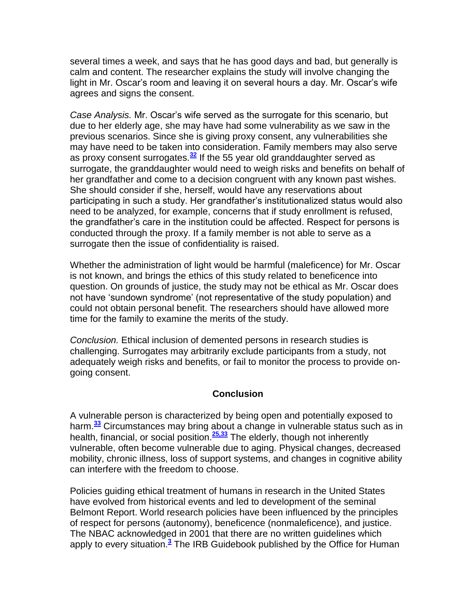several times a week, and says that he has good days and bad, but generally is calm and content. The researcher explains the study will involve changing the light in Mr. Oscar's room and leaving it on several hours a day. Mr. Oscar's wife agrees and signs the consent.

*Case Analysis.* Mr. Oscar"s wife served as the surrogate for this scenario, but due to her elderly age, she may have had some vulnerability as we saw in the previous scenarios. Since she is giving proxy consent, any vulnerabilities she may have need to be taken into consideration. Family members may also serve as proxy consent surrogates.**[32](http://snrs.org/publications/SOJNR_articles2/n)** If the 55 year old granddaughter served as surrogate, the granddaughter would need to weigh risks and benefits on behalf of her grandfather and come to a decision congruent with any known past wishes. She should consider if she, herself, would have any reservations about participating in such a study. Her grandfather"s institutionalized status would also need to be analyzed, for example, concerns that if study enrollment is refused, the grandfather"s care in the institution could be affected. Respect for persons is conducted through the proxy. If a family member is not able to serve as a surrogate then the issue of confidentiality is raised.

Whether the administration of light would be harmful (maleficence) for Mr. Oscar is not known, and brings the ethics of this study related to beneficence into question. On grounds of justice, the study may not be ethical as Mr. Oscar does not have "sundown syndrome" (not representative of the study population) and could not obtain personal benefit. The researchers should have allowed more time for the family to examine the merits of the study.

*Conclusion.* Ethical inclusion of demented persons in research studies is challenging. Surrogates may arbitrarily exclude participants from a study, not adequately weigh risks and benefits, or fail to monitor the process to provide ongoing consent.

## **Conclusion**

A vulnerable person is characterized by being open and potentially exposed to harm.**[33](http://snrs.org/publications/SOJNR_articles2/n)** Circumstances may bring about a change in vulnerable status such as in health, financial, or social position.**[25,33](http://snrs.org/publications/SOJNR_articles2/n)** The elderly, though not inherently vulnerable, often become vulnerable due to aging. Physical changes, decreased mobility, chronic illness, loss of support systems, and changes in cognitive ability can interfere with the freedom to choose.

Policies guiding ethical treatment of humans in research in the United States have evolved from historical events and led to development of the seminal Belmont Report. World research policies have been influenced by the principles of respect for persons (autonomy), beneficence (nonmaleficence), and justice. The NBAC acknowledged in 2001 that there are no written guidelines which apply to every situation.**[3](http://snrs.org/publications/SOJNR_articles2/n)** The IRB Guidebook published by the Office for Human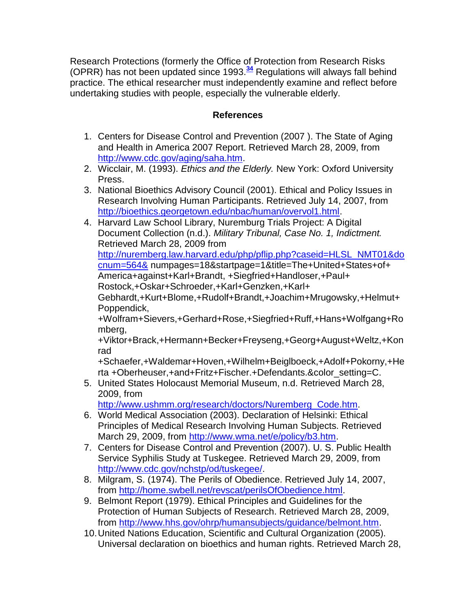Research Protections (formerly the Office of Protection from Research Risks (OPRR) has not been updated since 1993.**[34](http://snrs.org/publications/SOJNR_articles2/n)** Regulations will always fall behind practice. The ethical researcher must independently examine and reflect before undertaking studies with people, especially the vulnerable elderly.

# **References**

- 1. Centers for Disease Control and Prevention (2007 ). The State of Aging and Health in America 2007 Report. Retrieved March 28, 2009, from [http://www.cdc.gov/aging/saha.htm.](http://www.cdc.gov/aging/saha.htm)
- 2. Wicclair, M. (1993). *Ethics and the Elderly.* New York: Oxford University Press.
- 3. National Bioethics Advisory Council (2001). Ethical and Policy Issues in Research Involving Human Participants. Retrieved July 14, 2007, from [http://bioethics.georgetown.edu/nbac/human/overvol1.html.](http://bioethics.georgetown.edu/nbac/human/overvol1.html)
- 4. Harvard Law School Library, Nuremburg Trials Project: A Digital Document Collection (n.d.). *Military Tribunal, Case No. 1, Indictment.*  Retrieved March 28, 2009 from [http://nuremberg.law.harvard.edu/php/pflip.php?caseid=HLSL\\_NMT01&do](http://nuremberg.law.harvard.edu/php/pflip.php?caseid=HLSL_NMT01&docnum=564&) [cnum=564&](http://nuremberg.law.harvard.edu/php/pflip.php?caseid=HLSL_NMT01&docnum=564&) numpages=18&startpage=1&title=The+United+States+of+ America+against+Karl+Brandt, +Siegfried+Handloser,+Paul+ Rostock,+Oskar+Schroeder,+Karl+Genzken,+Karl+ Gebhardt,+Kurt+Blome,+Rudolf+Brandt,+Joachim+Mrugowsky,+Helmut+ Poppendick, +Wolfram+Sievers,+Gerhard+Rose,+Siegfried+Ruff,+Hans+Wolfgang+Ro mberg,

+Viktor+Brack,+Hermann+Becker+Freyseng,+Georg+August+Weltz,+Kon rad

+Schaefer,+Waldemar+Hoven,+Wilhelm+Beiglboeck,+Adolf+Pokorny,+He rta +Oberheuser,+and+Fritz+Fischer.+Defendants.&color\_setting=C.

5. United States Holocaust Memorial Museum, n.d. Retrieved March 28, 2009, from

[http://www.ushmm.org/research/doctors/Nuremberg\\_Code.htm.](http://www.ushmm.org/research/doctors/Nuremberg_Code.htm)

- 6. World Medical Association (2003). Declaration of Helsinki: Ethical Principles of Medical Research Involving Human Subjects. Retrieved March 29, 2009, from [http://www.wma.net/e/policy/b3.htm.](http://www.wma.net/e/policy/b3.htm)
- 7. Centers for Disease Control and Prevention (2007). U. S. Public Health Service Syphilis Study at Tuskegee. Retrieved March 29, 2009, from [http://www.cdc.gov/nchstp/od/tuskegee/.](http://www.cdc.gov/nchstp/od/tuskegee/)
- 8. Milgram, S. (1974). The Perils of Obedience. Retrieved July 14, 2007, from [http://home.swbell.net/revscat/perilsOfObedience.html.](http://home.swbell.net/revscat/perilsOfObedience.html)
- 9. Belmont Report (1979). Ethical Principles and Guidelines for the Protection of Human Subjects of Research. Retrieved March 28, 2009, from [http://www.hhs.gov/ohrp/humansubjects/guidance/belmont.htm.](http://home.swbell.net/revscat/perilsOfObedience.html)
- 10.United Nations Education, Scientific and Cultural Organization (2005). Universal declaration on bioethics and human rights. Retrieved March 28,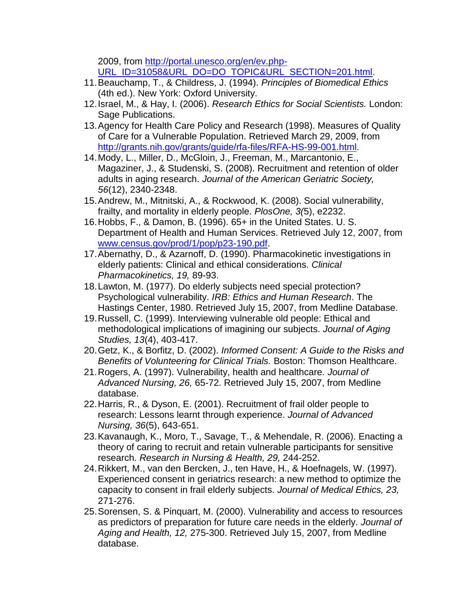2009, from [http://portal.unesco.org/en/ev.php-](http://portal.unesco.org/en/ev.php-%20URL_ID=31058&URL_DO=DO_TOPIC&URL_SECTION=201.html)[URL\\_ID=31058&URL\\_DO=DO\\_TOPIC&URL\\_SECTION=201.html.](http://portal.unesco.org/en/ev.php-%20URL_ID=31058&URL_DO=DO_TOPIC&URL_SECTION=201.html)

- 11.Beauchamp, T., & Childress, J. (1994). *Principles of Biomedical Ethics* (4th ed.). New York: Oxford University.
- 12.Israel, M., & Hay, I. (2006). *Research Ethics for Social Scientists.* London: Sage Publications.
- 13.Agency for Health Care Policy and Research (1998). Measures of Quality of Care for a Vulnerable Population. Retrieved March 29, 2009, from [http://grants.nih.gov/grants/guide/rfa-files/RFA-HS-99-001.html.](http://grants.nih.gov/grants/guide/rfa-files/RFA-HS-99-001.html)
- 14.Mody, L., Miller, D., McGloin, J., Freeman, M., Marcantonio, E., Magaziner, J., & Studenski, S. (2008). Recruitment and retention of older adults in aging research. *Journal of the American Geriatric Society, 56*(12), 2340-2348.
- 15.Andrew, M., Mitnitski, A., & Rockwood, K. (2008). Social vulnerability, frailty, and mortality in elderly people. *PlosOne, 3(*5), e2232.
- 16.Hobbs, F., & Damon, B. (1996). 65+ in the United States. U. S. Department of Health and Human Services. Retrieved July 12, 2007, from [www.census.gov/prod/1/pop/p23-190.pdf.](http://snrs.org/publications/SOJNR_articles2/www.census.gov/prod/1/pop/p23-190.pdf)
- 17.Abernathy, D., & Azarnoff, D. (1990). Pharmacokinetic investigations in elderly patients: Clinical and ethical considerations. *Clinical Pharmacokinetics, 19,* 89-93.
- 18.Lawton, M. (1977). Do elderly subjects need special protection? Psychological vulnerability. *IRB: Ethics and Human Research*. The Hastings Center, 1980. Retrieved July 15, 2007, from Medline Database.
- 19.Russell, C. (1999). Interviewing vulnerable old people: Ethical and methodological implications of imagining our subjects. *Journal of Aging Studies, 13*(4), 403-417.
- 20.Getz, K., & Borfitz, D. (2002). *Informed Consent: A Guide to the Risks and Benefits of Volunteering for Clinical Trials.* Boston: Thomson Healthcare.
- 21.Rogers, A. (1997). Vulnerability, health and healthcare. *Journal of Advanced Nursing, 26,* 65-72. Retrieved July 15, 2007, from Medline database.
- 22.Harris, R., & Dyson, E. (2001). Recruitment of frail older people to research: Lessons learnt through experience. *Journal of Advanced Nursing, 36*(5), 643-651.
- 23.Kavanaugh, K., Moro, T., Savage, T., & Mehendale, R. (2006). Enacting a theory of caring to recruit and retain vulnerable participants for sensitive research. *Research in Nursing & Health, 29,* 244-252.
- 24.Rikkert, M., van den Bercken, J., ten Have, H., & Hoefnagels, W. (1997). Experienced consent in geriatrics research: a new method to optimize the capacity to consent in frail elderly subjects. *Journal of Medical Ethics, 23,* 271-276.
- 25.Sorensen, S. & Pinquart, M. (2000). Vulnerability and access to resources as predictors of preparation for future care needs in the elderly. *Journal of Aging and Health, 12,* 275-300. Retrieved July 15, 2007, from Medline database.